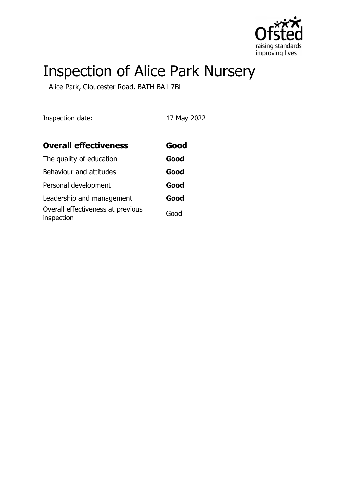

# Inspection of Alice Park Nursery

1 Alice Park, Gloucester Road, BATH BA1 7BL

Inspection date: 17 May 2022

| <b>Overall effectiveness</b>                    | Good |
|-------------------------------------------------|------|
| The quality of education                        | Good |
| Behaviour and attitudes                         | Good |
| Personal development                            | Good |
| Leadership and management                       | Good |
| Overall effectiveness at previous<br>inspection | Good |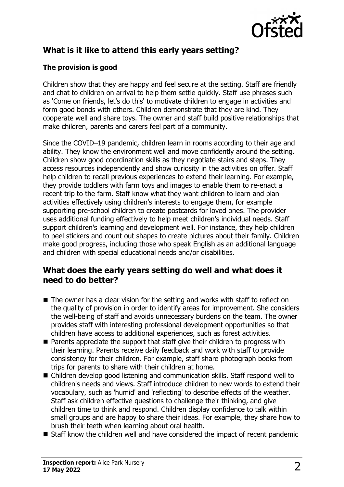

## **What is it like to attend this early years setting?**

### **The provision is good**

Children show that they are happy and feel secure at the setting. Staff are friendly and chat to children on arrival to help them settle quickly. Staff use phrases such as 'Come on friends, let's do this' to motivate children to engage in activities and form good bonds with others. Children demonstrate that they are kind. They cooperate well and share toys. The owner and staff build positive relationships that make children, parents and carers feel part of a community.

Since the COVID–19 pandemic, children learn in rooms according to their age and ability. They know the environment well and move confidently around the setting. Children show good coordination skills as they negotiate stairs and steps. They access resources independently and show curiosity in the activities on offer. Staff help children to recall previous experiences to extend their learning. For example, they provide toddlers with farm toys and images to enable them to re-enact a recent trip to the farm. Staff know what they want children to learn and plan activities effectively using children's interests to engage them, for example supporting pre-school children to create postcards for loved ones. The provider uses additional funding effectively to help meet children's individual needs. Staff support children's learning and development well. For instance, they help children to peel stickers and count out shapes to create pictures about their family. Children make good progress, including those who speak English as an additional language and children with special educational needs and/or disabilities.

## **What does the early years setting do well and what does it need to do better?**

- $\blacksquare$  The owner has a clear vision for the setting and works with staff to reflect on the quality of provision in order to identify areas for improvement. She considers the well-being of staff and avoids unnecessary burdens on the team. The owner provides staff with interesting professional development opportunities so that children have access to additional experiences, such as forest activities.
- $\blacksquare$  Parents appreciate the support that staff give their children to progress with their learning. Parents receive daily feedback and work with staff to provide consistency for their children. For example, staff share photograph books from trips for parents to share with their children at home.
- Children develop good listening and communication skills. Staff respond well to children's needs and views. Staff introduce children to new words to extend their vocabulary, such as 'humid' and 'reflecting' to describe effects of the weather. Staff ask children effective questions to challenge their thinking, and give children time to think and respond. Children display confidence to talk within small groups and are happy to share their ideas. For example, they share how to brush their teeth when learning about oral health.
- $\blacksquare$  Staff know the children well and have considered the impact of recent pandemic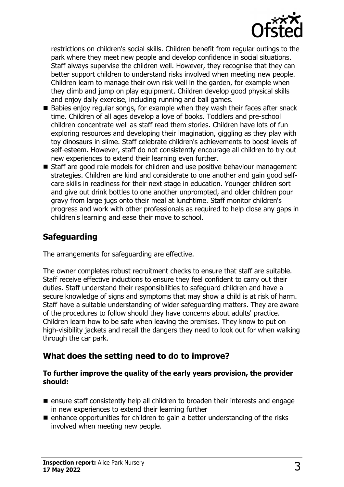

restrictions on children's social skills. Children benefit from regular outings to the park where they meet new people and develop confidence in social situations. Staff always supervise the children well. However, they recognise that they can better support children to understand risks involved when meeting new people. Children learn to manage their own risk well in the garden, for example when they climb and jump on play equipment. Children develop good physical skills and enjoy daily exercise, including running and ball games.

- $\blacksquare$  Babies enjoy regular songs, for example when they wash their faces after snack time. Children of all ages develop a love of books. Toddlers and pre-school children concentrate well as staff read them stories. Children have lots of fun exploring resources and developing their imagination, giggling as they play with toy dinosaurs in slime. Staff celebrate children's achievements to boost levels of self-esteem. However, staff do not consistently encourage all children to try out new experiences to extend their learning even further.
- $\blacksquare$  Staff are good role models for children and use positive behaviour management strategies. Children are kind and considerate to one another and gain good selfcare skills in readiness for their next stage in education. Younger children sort and give out drink bottles to one another unprompted, and older children pour gravy from large jugs onto their meal at lunchtime. Staff monitor children's progress and work with other professionals as required to help close any gaps in children's learning and ease their move to school.

## **Safeguarding**

The arrangements for safeguarding are effective.

The owner completes robust recruitment checks to ensure that staff are suitable. Staff receive effective inductions to ensure they feel confident to carry out their duties. Staff understand their responsibilities to safeguard children and have a secure knowledge of signs and symptoms that may show a child is at risk of harm. Staff have a suitable understanding of wider safeguarding matters. They are aware of the procedures to follow should they have concerns about adults' practice. Children learn how to be safe when leaving the premises. They know to put on high-visibility jackets and recall the dangers they need to look out for when walking through the car park.

## **What does the setting need to do to improve?**

#### **To further improve the quality of the early years provision, the provider should:**

- $\blacksquare$  ensure staff consistently help all children to broaden their interests and engage in new experiences to extend their learning further
- $\blacksquare$  enhance opportunities for children to gain a better understanding of the risks involved when meeting new people.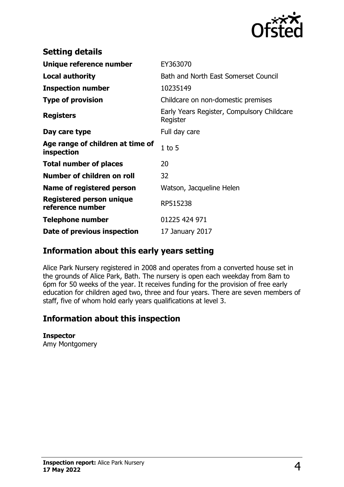

| <b>Setting details</b>                              |                                                        |
|-----------------------------------------------------|--------------------------------------------------------|
| Unique reference number                             | EY363070                                               |
| Local authority                                     | Bath and North East Somerset Council                   |
| <b>Inspection number</b>                            | 10235149                                               |
| <b>Type of provision</b>                            | Childcare on non-domestic premises                     |
| <b>Registers</b>                                    | Early Years Register, Compulsory Childcare<br>Register |
| Day care type                                       | Full day care                                          |
| Age range of children at time of<br>inspection      | $1$ to $5$                                             |
| <b>Total number of places</b>                       | 20                                                     |
| Number of children on roll                          | 32                                                     |
| Name of registered person                           | Watson, Jacqueline Helen                               |
| <b>Registered person unique</b><br>reference number | RP515238                                               |
| <b>Telephone number</b>                             | 01225 424 971                                          |
| Date of previous inspection                         | 17 January 2017                                        |

## **Information about this early years setting**

Alice Park Nursery registered in 2008 and operates from a converted house set in the grounds of Alice Park, Bath. The nursery is open each weekday from 8am to 6pm for 50 weeks of the year. It receives funding for the provision of free early education for children aged two, three and four years. There are seven members of staff, five of whom hold early years qualifications at level 3.

## **Information about this inspection**

#### **Inspector**

Amy Montgomery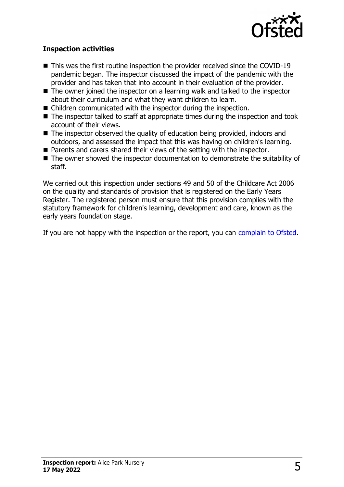

#### **Inspection activities**

- $\blacksquare$  This was the first routine inspection the provider received since the COVID-19 pandemic began. The inspector discussed the impact of the pandemic with the provider and has taken that into account in their evaluation of the provider.
- $\blacksquare$  The owner joined the inspector on a learning walk and talked to the inspector about their curriculum and what they want children to learn.
- $\blacksquare$  Children communicated with the inspector during the inspection.
- $\blacksquare$  The inspector talked to staff at appropriate times during the inspection and took account of their views.
- $\blacksquare$  The inspector observed the quality of education being provided, indoors and outdoors, and assessed the impact that this was having on children's learning.
- $\blacksquare$  Parents and carers shared their views of the setting with the inspector.
- $\blacksquare$  The owner showed the inspector documentation to demonstrate the suitability of staff.

We carried out this inspection under sections 49 and 50 of the Childcare Act 2006 on the quality and standards of provision that is registered on the Early Years Register. The registered person must ensure that this provision complies with the statutory framework for children's learning, development and care, known as the early years foundation stage.

If you are not happy with the inspection or the report, you can [complain to Ofsted](http://www.gov.uk/complain-ofsted-report).